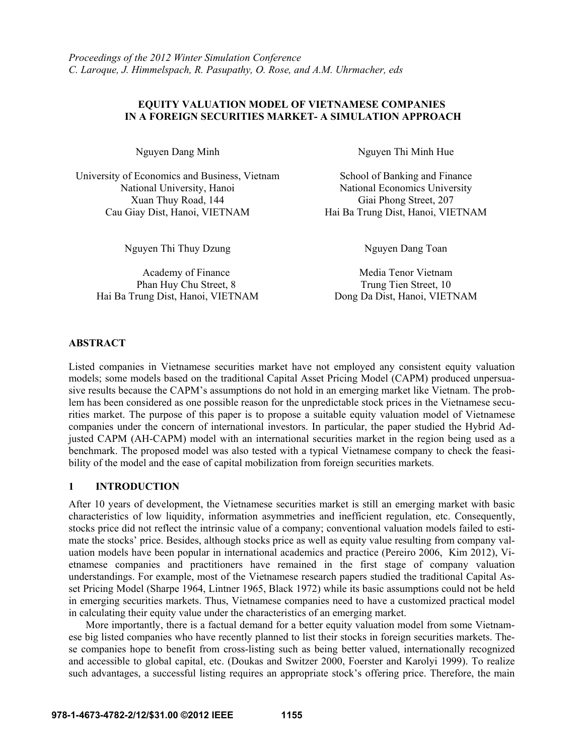# **EQUITY VALUATION MODEL OF VIETNAMESE COMPANIES IN A FOREIGN SECURITIES MARKET- A SIMULATION APPROACH**

University of Economics and Business, Vietnam National University, Hanoi Xuan Thuy Road, 144 Giai Phong Street, 207 Cau Giay Dist, Hanoi, VIETNAM Hai Ba Trung Dist, Hanoi, VIETNAM

Nguyen Thi Thuy Dzung Nguyen Dang Toan

Phan Huy Chu Street, 8 Trung Tien Street, 10 Hai Ba Trung Dist, Hanoi, VIETNAM Dong Da Dist, Hanoi, VIETNAM

Nguyen Dang Minh Nguyen Thi Minh Hue

School of Banking and Finance National Economics University

Academy of Finance Media Tenor Vietnam

### **ABSTRACT**

Listed companies in Vietnamese securities market have not employed any consistent equity valuation models; some models based on the traditional Capital Asset Pricing Model (CAPM) produced unpersuasive results because the CAPM's assumptions do not hold in an emerging market like Vietnam. The problem has been considered as one possible reason for the unpredictable stock prices in the Vietnamese securities market. The purpose of this paper is to propose a suitable equity valuation model of Vietnamese companies under the concern of international investors. In particular, the paper studied the Hybrid Adjusted CAPM (AH-CAPM) model with an international securities market in the region being used as a benchmark. The proposed model was also tested with a typical Vietnamese company to check the feasibility of the model and the ease of capital mobilization from foreign securities markets.

#### **1 INTRODUCTION**

After 10 years of development, the Vietnamese securities market is still an emerging market with basic characteristics of low liquidity, information asymmetries and inefficient regulation, etc. Consequently, stocks price did not reflect the intrinsic value of a company; conventional valuation models failed to estimate the stocks' price. Besides, although stocks price as well as equity value resulting from company valuation models have been popular in international academics and practice (Pereiro 2006, Kim 2012), Vietnamese companies and practitioners have remained in the first stage of company valuation understandings. For example, most of the Vietnamese research papers studied the traditional Capital Asset Pricing Model (Sharpe 1964, Lintner 1965, Black 1972) while its basic assumptions could not be held in emerging securities markets. Thus, Vietnamese companies need to have a customized practical model in calculating their equity value under the characteristics of an emerging market.

More importantly, there is a factual demand for a better equity valuation model from some Vietnamese big listed companies who have recently planned to list their stocks in foreign securities markets. These companies hope to benefit from cross-listing such as being better valued, internationally recognized and accessible to global capital, etc. (Doukas and Switzer 2000, Foerster and Karolyi 1999). To realize such advantages, a successful listing requires an appropriate stock's offering price. Therefore, the main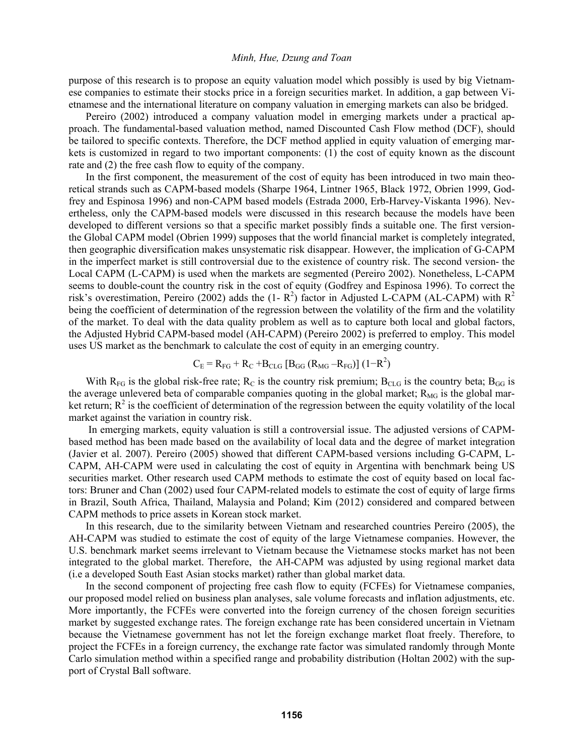purpose of this research is to propose an equity valuation model which possibly is used by big Vietnamese companies to estimate their stocks price in a foreign securities market. In addition, a gap between Vietnamese and the international literature on company valuation in emerging markets can also be bridged.

Pereiro (2002) introduced a company valuation model in emerging markets under a practical approach. The fundamental-based valuation method, named Discounted Cash Flow method (DCF), should be tailored to specific contexts. Therefore, the DCF method applied in equity valuation of emerging markets is customized in regard to two important components: (1) the cost of equity known as the discount rate and (2) the free cash flow to equity of the company.

In the first component, the measurement of the cost of equity has been introduced in two main theoretical strands such as CAPM-based models (Sharpe 1964, Lintner 1965, Black 1972, Obrien 1999, Godfrey and Espinosa 1996) and non-CAPM based models (Estrada 2000, Erb-Harvey-Viskanta 1996). Nevertheless, only the CAPM-based models were discussed in this research because the models have been developed to different versions so that a specific market possibly finds a suitable one. The first versionthe Global CAPM model (Obrien 1999) supposes that the world financial market is completely integrated, then geographic diversification makes unsystematic risk disappear. However, the implication of G-CAPM in the imperfect market is still controversial due to the existence of country risk. The second version- the Local CAPM (L-CAPM) is used when the markets are segmented (Pereiro 2002). Nonetheless, L-CAPM seems to double-count the country risk in the cost of equity (Godfrey and Espinosa 1996). To correct the risk's overestimation, Pereiro (2002) adds the  $(1 - R^2)$  factor in Adjusted L-CAPM (AL-CAPM) with  $R^2$ being the coefficient of determination of the regression between the volatility of the firm and the volatility of the market. To deal with the data quality problem as well as to capture both local and global factors, the Adjusted Hybrid CAPM-based model (AH-CAPM) (Pereiro 2002) is preferred to employ. This model uses US market as the benchmark to calculate the cost of equity in an emerging country.

$$
C_{E} = R_{FG} + R_{C} + B_{CLG} [B_{GG} (R_{MG} - R_{FG})] (1 - R^{2})
$$

With  $R_{FG}$  is the global risk-free rate;  $R_C$  is the country risk premium;  $B_{CLG}$  is the country beta;  $B_{GG}$  is the average unlevered beta of comparable companies quoting in the global market;  $R_{MG}$  is the global market return;  $R^2$  is the coefficient of determination of the regression between the equity volatility of the local market against the variation in country risk.

In emerging markets, equity valuation is still a controversial issue. The adjusted versions of CAPMbased method has been made based on the availability of local data and the degree of market integration (Javier et al. 2007). Pereiro (2005) showed that different CAPM-based versions including G-CAPM, L-CAPM, AH-CAPM were used in calculating the cost of equity in Argentina with benchmark being US securities market. Other research used CAPM methods to estimate the cost of equity based on local factors: Bruner and Chan (2002) used four CAPM-related models to estimate the cost of equity of large firms in Brazil, South Africa, Thailand, Malaysia and Poland; Kim (2012) considered and compared between CAPM methods to price assets in Korean stock market.

In this research, due to the similarity between Vietnam and researched countries Pereiro (2005), the AH-CAPM was studied to estimate the cost of equity of the large Vietnamese companies. However, the U.S. benchmark market seems irrelevant to Vietnam because the Vietnamese stocks market has not been integrated to the global market. Therefore, the AH-CAPM was adjusted by using regional market data (i.e a developed South East Asian stocks market) rather than global market data.

In the second component of projecting free cash flow to equity (FCFEs) for Vietnamese companies, our proposed model relied on business plan analyses, sale volume forecasts and inflation adjustments, etc. More importantly, the FCFEs were converted into the foreign currency of the chosen foreign securities market by suggested exchange rates. The foreign exchange rate has been considered uncertain in Vietnam because the Vietnamese government has not let the foreign exchange market float freely. Therefore, to project the FCFEs in a foreign currency, the exchange rate factor was simulated randomly through Monte Carlo simulation method within a specified range and probability distribution (Holtan 2002) with the support of Crystal Ball software.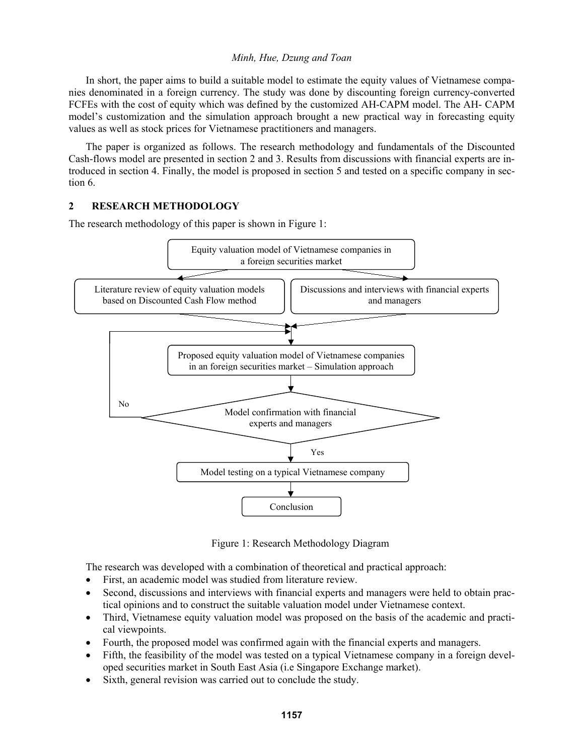In short, the paper aims to build a suitable model to estimate the equity values of Vietnamese companies denominated in a foreign currency. The study was done by discounting foreign currency-converted FCFEs with the cost of equity which was defined by the customized AH-CAPM model. The AH- CAPM model's customization and the simulation approach brought a new practical way in forecasting equity values as well as stock prices for Vietnamese practitioners and managers.

The paper is organized as follows. The research methodology and fundamentals of the Discounted Cash-flows model are presented in section 2 and 3. Results from discussions with financial experts are introduced in section 4. Finally, the model is proposed in section 5 and tested on a specific company in section 6.

# **2 RESEARCH METHODOLOGY**

The research methodology of this paper is shown in Figure 1:



Figure 1: Research Methodology Diagram

The research was developed with a combination of theoretical and practical approach:

- First, an academic model was studied from literature review.
- Second, discussions and interviews with financial experts and managers were held to obtain practical opinions and to construct the suitable valuation model under Vietnamese context.
- Third, Vietnamese equity valuation model was proposed on the basis of the academic and practical viewpoints.
- Fourth, the proposed model was confirmed again with the financial experts and managers.
- Fifth, the feasibility of the model was tested on a typical Vietnamese company in a foreign developed securities market in South East Asia (i.e Singapore Exchange market).
- Sixth, general revision was carried out to conclude the study.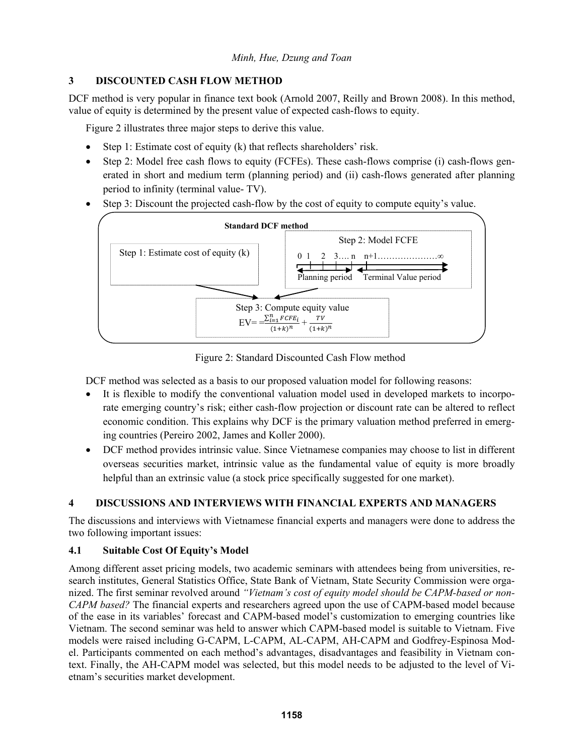# **3 DISCOUNTED CASH FLOW METHOD**

DCF method is very popular in finance text book (Arnold 2007, Reilly and Brown 2008). In this method, value of equity is determined by the present value of expected cash-flows to equity.

Figure 2 illustrates three major steps to derive this value.

- Step 1: Estimate cost of equity (k) that reflects shareholders' risk.
- Step 2: Model free cash flows to equity (FCFEs). These cash-flows comprise (i) cash-flows generated in short and medium term (planning period) and (ii) cash-flows generated after planning period to infinity (terminal value- TV).
- Step 3: Discount the projected cash-flow by the cost of equity to compute equity's value.



Figure 2: Standard Discounted Cash Flow method

DCF method was selected as a basis to our proposed valuation model for following reasons:

- It is flexible to modify the conventional valuation model used in developed markets to incorporate emerging country's risk; either cash-flow projection or discount rate can be altered to reflect economic condition. This explains why DCF is the primary valuation method preferred in emerging countries (Pereiro 2002, James and Koller 2000).
- DCF method provides intrinsic value. Since Vietnamese companies may choose to list in different overseas securities market, intrinsic value as the fundamental value of equity is more broadly helpful than an extrinsic value (a stock price specifically suggested for one market).

# **4 DISCUSSIONS AND INTERVIEWS WITH FINANCIAL EXPERTS AND MANAGERS**

The discussions and interviews with Vietnamese financial experts and managers were done to address the two following important issues:

# **4.1 Suitable Cost Of Equity's Model**

Among different asset pricing models, two academic seminars with attendees being from universities, research institutes, General Statistics Office, State Bank of Vietnam, State Security Commission were organized. The first seminar revolved around *"Vietnam's cost of equity model should be CAPM-based or non-CAPM based?* The financial experts and researchers agreed upon the use of CAPM-based model because of the ease in its variables' forecast and CAPM-based model's customization to emerging countries like Vietnam. The second seminar was held to answer which CAPM-based model is suitable to Vietnam. Five models were raised including G-CAPM, L-CAPM, AL-CAPM, AH-CAPM and Godfrey-Espinosa Model. Participants commented on each method's advantages, disadvantages and feasibility in Vietnam context. Finally, the AH-CAPM model was selected, but this model needs to be adjusted to the level of Vietnam's securities market development.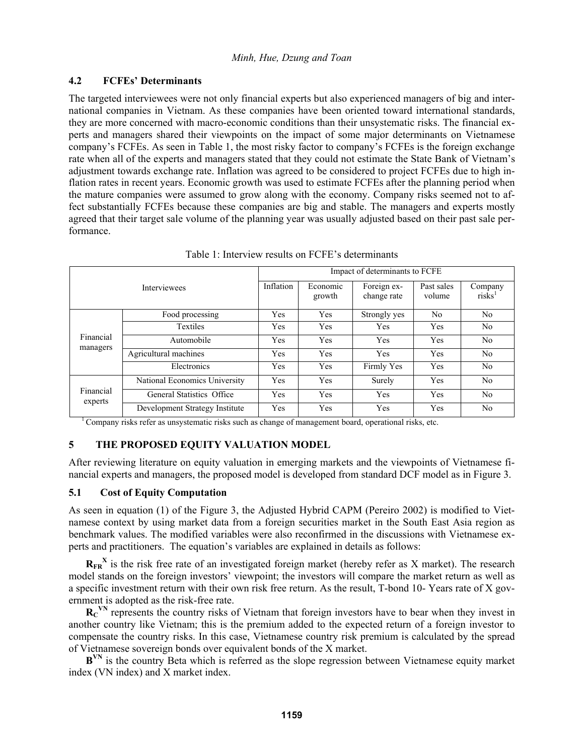# **4.2 FCFEs' Determinants**

The targeted interviewees were not only financial experts but also experienced managers of big and international companies in Vietnam. As these companies have been oriented toward international standards, they are more concerned with macro-economic conditions than their unsystematic risks. The financial experts and managers shared their viewpoints on the impact of some major determinants on Vietnamese company's FCFEs. As seen in Table 1, the most risky factor to company's FCFEs is the foreign exchange rate when all of the experts and managers stated that they could not estimate the State Bank of Vietnam's adjustment towards exchange rate. Inflation was agreed to be considered to project FCFEs due to high inflation rates in recent years. Economic growth was used to estimate FCFEs after the planning period when the mature companies were assumed to grow along with the economy. Company risks seemed not to affect substantially FCFEs because these companies are big and stable. The managers and experts mostly agreed that their target sale volume of the planning year was usually adjusted based on their past sale performance.

| Table 1. HIRTYICW TOSHIIS OII I CT E S HURTHIIIIHIIS |                                |                                |                    |                            |                      |                                           |  |  |  |  |
|------------------------------------------------------|--------------------------------|--------------------------------|--------------------|----------------------------|----------------------|-------------------------------------------|--|--|--|--|
| <b>Interviewees</b>                                  |                                | Impact of determinants to FCFE |                    |                            |                      |                                           |  |  |  |  |
|                                                      |                                | Inflation                      | Economic<br>growth | Foreign ex-<br>change rate | Past sales<br>volume | Company<br>ri <sub>sks</sub> <sup>1</sup> |  |  |  |  |
| Financial<br>managers                                | Food processing                | Yes                            | <b>Yes</b>         | Strongly yes               | N <sub>0</sub>       | N <sub>0</sub>                            |  |  |  |  |
|                                                      | Textiles                       | Yes                            | Yes                | Yes                        | Yes                  | N <sub>0</sub>                            |  |  |  |  |
|                                                      | Automobile                     | Yes                            | Yes                | Yes                        | Yes                  | N <sub>0</sub>                            |  |  |  |  |
|                                                      | Agricultural machines          | Yes                            | Yes                | <b>Yes</b>                 | Yes                  | N <sub>0</sub>                            |  |  |  |  |
|                                                      | Electronics                    | Yes                            | <b>Yes</b>         | Firmly Yes                 | Yes                  | N <sub>0</sub>                            |  |  |  |  |
| Financial<br>experts                                 | National Economics University  | Yes                            | Yes                | Surely                     | <b>Yes</b>           | N <sub>0</sub>                            |  |  |  |  |
|                                                      | General Statistics Office      | Yes                            | Yes                | Yes                        | Yes                  | N <sub>0</sub>                            |  |  |  |  |
|                                                      | Development Strategy Institute | Yes                            | Yes                | Yes                        | Yes                  | N <sub>0</sub>                            |  |  |  |  |

Table 1: Interview results on FCFE's determinants

1 Company risks refer as unsystematic risks such as change of management board, operational risks, etc.

# **5 THE PROPOSED EQUITY VALUATION MODEL**

After reviewing literature on equity valuation in emerging markets and the viewpoints of Vietnamese financial experts and managers, the proposed model is developed from standard DCF model as in Figure 3.

# **5.1 Cost of Equity Computation**

As seen in equation (1) of the Figure 3, the Adjusted Hybrid CAPM (Pereiro 2002) is modified to Vietnamese context by using market data from a foreign securities market in the South East Asia region as benchmark values. The modified variables were also reconfirmed in the discussions with Vietnamese experts and practitioners. The equation's variables are explained in details as follows:

 $R_{FR}$ <sup>X</sup> is the risk free rate of an investigated foreign market (hereby refer as X market). The research model stands on the foreign investors' viewpoint; the investors will compare the market return as well as a specific investment return with their own risk free return. As the result, T-bond 10- Years rate of X government is adopted as the risk-free rate.

R<sub>C</sub><sup>VN</sup> represents the country risks of Vietnam that foreign investors have to bear when they invest in another country like Vietnam; this is the premium added to the expected return of a foreign investor to compensate the country risks. In this case, Vietnamese country risk premium is calculated by the spread of Vietnamese sovereign bonds over equivalent bonds of the X market.

B<sup>VN</sup> is the country Beta which is referred as the slope regression between Vietnamese equity market index (VN index) and X market index.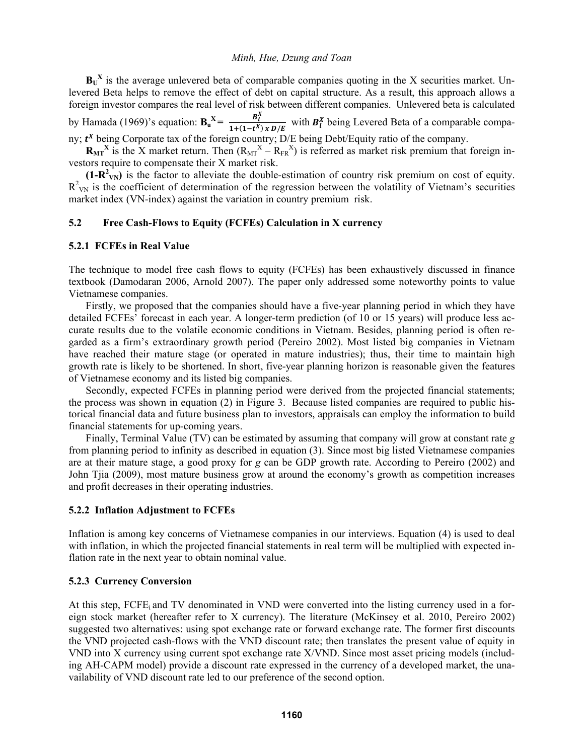$B<sub>U</sub><sup>X</sup>$  is the average unlevered beta of comparable companies quoting in the X securities market. Unlevered Beta helps to remove the effect of debt on capital structure. As a result, this approach allows a foreign investor compares the real level of risk between different companies. Unlevered beta is calculated by Hamada (1969)'s equation:  $\mathbf{B}_u^{\mathbf{X}} = \frac{\mathbf{B}_l^{\mathbf{X}}}{1 + (\mathbf{1} + \mathbf{X})^2}$  $\frac{b_l}{1+(1-t^X)x D/E}$  with  $B_l^X$  being Levered Beta of a comparable compa-

ny;  $t^X$  being Corporate tax of the foreign country; D/E being Debt/Equity ratio of the company.

 $R_{MT}$ <sup>X</sup> is the X market return. Then  $(R_{MT}^X - R_{FR}^X)$  is referred as market risk premium that foreign investors require to compensate their X market risk.

 $(1-R^2_{\text{VN}})$  is the factor to alleviate the double-estimation of country risk premium on cost of equity.  $R^2_{\text{VN}}$  is the coefficient of determination of the regression between the volatility of Vietnam's securities market index (VN-index) against the variation in country premium risk.

### **5.2 Free Cash-Flows to Equity (FCFEs) Calculation in X currency**

#### **5.2.1 FCFEs in Real Value**

The technique to model free cash flows to equity (FCFEs) has been exhaustively discussed in finance textbook (Damodaran 2006, Arnold 2007). The paper only addressed some noteworthy points to value Vietnamese companies.

Firstly, we proposed that the companies should have a five-year planning period in which they have detailed FCFEs' forecast in each year. A longer-term prediction (of 10 or 15 years) will produce less accurate results due to the volatile economic conditions in Vietnam. Besides, planning period is often regarded as a firm's extraordinary growth period (Pereiro 2002). Most listed big companies in Vietnam have reached their mature stage (or operated in mature industries); thus, their time to maintain high growth rate is likely to be shortened. In short, five-year planning horizon is reasonable given the features of Vietnamese economy and its listed big companies.

Secondly, expected FCFEs in planning period were derived from the projected financial statements; the process was shown in equation (2) in Figure 3. Because listed companies are required to public historical financial data and future business plan to investors, appraisals can employ the information to build financial statements for up-coming years.

Finally, Terminal Value (TV) can be estimated by assuming that company will grow at constant rate *g*  from planning period to infinity as described in equation (3). Since most big listed Vietnamese companies are at their mature stage, a good proxy for *g* can be GDP growth rate. According to Pereiro (2002) and John Tjia (2009), most mature business grow at around the economy's growth as competition increases and profit decreases in their operating industries.

#### **5.2.2 Inflation Adjustment to FCFEs**

Inflation is among key concerns of Vietnamese companies in our interviews. Equation (4) is used to deal with inflation, in which the projected financial statements in real term will be multiplied with expected inflation rate in the next year to obtain nominal value.

#### **5.2.3 Currency Conversion**

At this step,  $FCFE_i$  and TV denominated in VND were converted into the listing currency used in a foreign stock market (hereafter refer to X currency). The literature (McKinsey et al. 2010, Pereiro 2002) suggested two alternatives: using spot exchange rate or forward exchange rate. The former first discounts the VND projected cash-flows with the VND discount rate; then translates the present value of equity in VND into X currency using current spot exchange rate X/VND. Since most asset pricing models (including AH-CAPM model) provide a discount rate expressed in the currency of a developed market, the unavailability of VND discount rate led to our preference of the second option.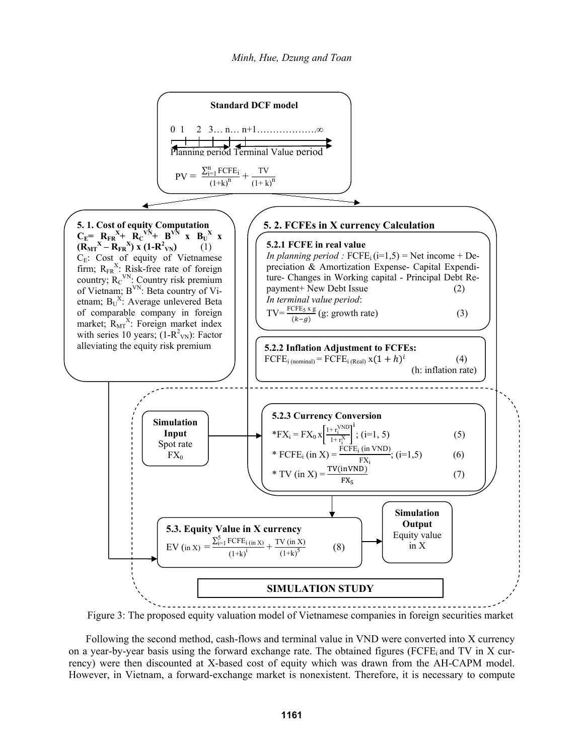

Figure 3: The proposed equity valuation model of Vietnamese companies in foreign securities market

Following the second method, cash-flows and terminal value in VND were converted into X currency on a year-by-year basis using the forward exchange rate. The obtained figures (FCFE; and TV in X currency) were then discounted at X-based cost of equity which was drawn from the AH-CAPM model. However, in Vietnam, a forward-exchange market is nonexistent. Therefore, it is necessary to compute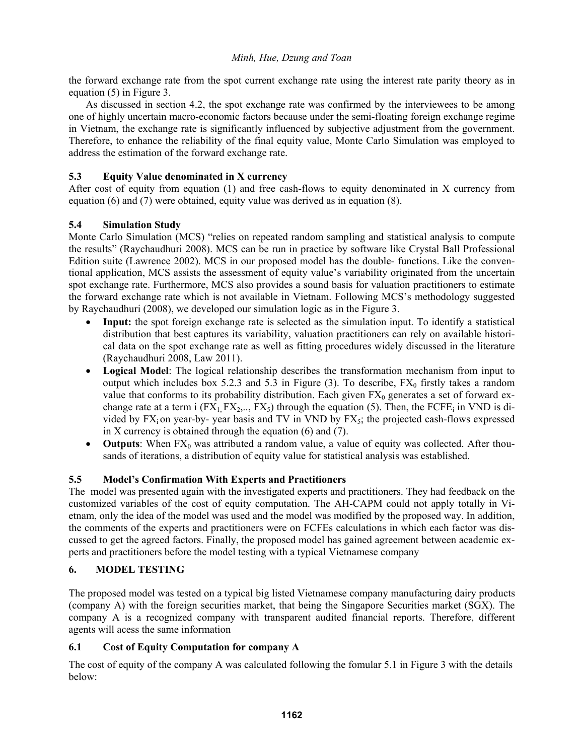the forward exchange rate from the spot current exchange rate using the interest rate parity theory as in equation (5) in Figure 3.

As discussed in section 4.2, the spot exchange rate was confirmed by the interviewees to be among one of highly uncertain macro-economic factors because under the semi-floating foreign exchange regime in Vietnam, the exchange rate is significantly influenced by subjective adjustment from the government. Therefore, to enhance the reliability of the final equity value, Monte Carlo Simulation was employed to address the estimation of the forward exchange rate.

# **5.3 Equity Value denominated in X currency**

After cost of equity from equation (1) and free cash-flows to equity denominated in X currency from equation (6) and (7) were obtained, equity value was derived as in equation (8).

# **5.4 Simulation Study**

Monte Carlo Simulation (MCS) "relies on repeated random sampling and statistical analysis to compute the results" (Raychaudhuri 2008). MCS can be run in practice by software like Crystal Ball Professional Edition suite (Lawrence 2002). MCS in our proposed model has the double- functions. Like the conventional application, MCS assists the assessment of equity value's variability originated from the uncertain spot exchange rate. Furthermore, MCS also provides a sound basis for valuation practitioners to estimate the forward exchange rate which is not available in Vietnam. Following MCS's methodology suggested by Raychaudhuri (2008), we developed our simulation logic as in the Figure 3.

- **Input:** the spot foreign exchange rate is selected as the simulation input. To identify a statistical distribution that best captures its variability, valuation practitioners can rely on available historical data on the spot exchange rate as well as fitting procedures widely discussed in the literature (Raychaudhuri 2008, Law 2011).
- **Logical Model**: The logical relationship describes the transformation mechanism from input to output which includes box 5.2.3 and 5.3 in Figure (3). To describe,  $FX_0$  firstly takes a random value that conforms to its probability distribution. Each given  $FX_0$  generates a set of forward exchange rate at a term i  $(FX_1, FX_2,..., FX_5)$  through the equation (5). Then, the FCFE<sub>i</sub> in VND is divided by  $FX_i$  on year-by- year basis and TV in VND by  $FX_5$ ; the projected cash-flows expressed in X currency is obtained through the equation (6) and (7).
- **Outputs**: When  $FX_0$  was attributed a random value, a value of equity was collected. After thousands of iterations, a distribution of equity value for statistical analysis was established.

# **5.5 Model's Confirmation With Experts and Practitioners**

The model was presented again with the investigated experts and practitioners. They had feedback on the customized variables of the cost of equity computation. The AH-CAPM could not apply totally in Vietnam, only the idea of the model was used and the model was modified by the proposed way. In addition, the comments of the experts and practitioners were on FCFEs calculations in which each factor was discussed to get the agreed factors. Finally, the proposed model has gained agreement between academic experts and practitioners before the model testing with a typical Vietnamese company

# **6. MODEL TESTING**

The proposed model was tested on a typical big listed Vietnamese company manufacturing dairy products (company A) with the foreign securities market, that being the Singapore Securities market (SGX). The company A is a recognized company with transparent audited financial reports. Therefore, different agents will acess the same information

# **6.1 Cost of Equity Computation for company A**

The cost of equity of the company A was calculated following the fomular 5.1 in Figure 3 with the details below: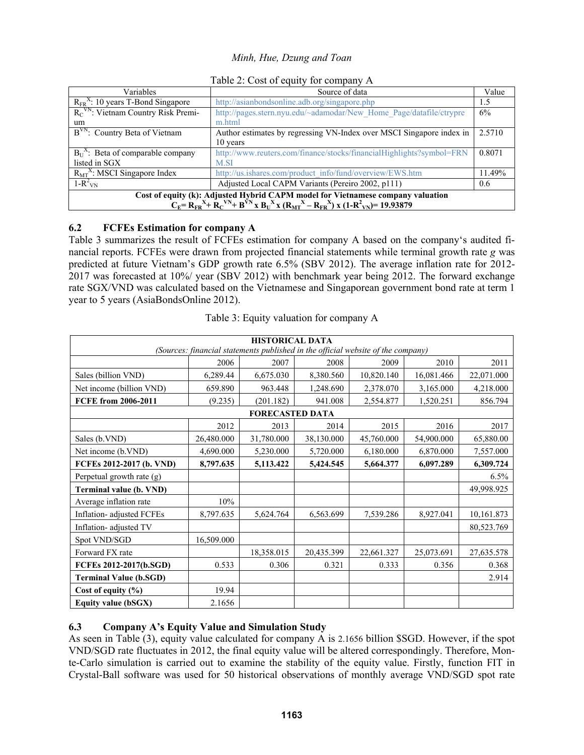| Variables                                                                                                                                                                                   | Source of data                                                       |        |  |  |  |
|---------------------------------------------------------------------------------------------------------------------------------------------------------------------------------------------|----------------------------------------------------------------------|--------|--|--|--|
| $R_{FR}^{\text{X}}$ : 10 years T-Bond Singapore                                                                                                                                             | http://asianbondsonline.adb.org/singapore.php                        |        |  |  |  |
| $R_C$ <sup>VN</sup> : Vietnam Country Risk Premi-                                                                                                                                           | http://pages.stern.nyu.edu/~adamodar/New Home Page/datafile/ctrypre  |        |  |  |  |
| um                                                                                                                                                                                          | m.html                                                               |        |  |  |  |
| B <sup>VN</sup> : Country Beta of Vietnam                                                                                                                                                   | Author estimates by regressing VN-Index over MSCI Singapore index in | 2.5710 |  |  |  |
|                                                                                                                                                                                             | 10 years                                                             |        |  |  |  |
| $B_{U}^{\Lambda}$ : Beta of comparable company                                                                                                                                              | http://www.reuters.com/finance/stocks/financialHighlights?symbol=FRN | 0.8071 |  |  |  |
| listed in SGX                                                                                                                                                                               | M.SI                                                                 |        |  |  |  |
| $R_{\text{MT}}^{\text{X}}$ : MSCI Singapore Index                                                                                                                                           | http://us.ishares.com/product_info/fund/overview/EWS.htm             | 11.49% |  |  |  |
| $1-R^2_{\text{VN}}$                                                                                                                                                                         | Adjusted Local CAPM Variants (Pereiro 2002, p111)                    | 0.6    |  |  |  |
| Cost of equity (k): Adjusted Hybrid CAPM model for Vietnamese company valuation<br>$C_E = R_{FR}^{X+} R_C^{VN+} B_V^{VN} x B_U^{X} x (R_{MT}^{X} - R_{FR}^{N}) x (1-R_{VN}^{2}) = 19.93879$ |                                                                      |        |  |  |  |

Table 2: Cost of equity for company A

# **6.2 FCFEs Estimation for company A**

Table 3 summarizes the result of FCFEs estimation for company A based on the company's audited financial reports. FCFEs were drawn from projected financial statements while terminal growth rate *g* was predicted at future Vietnam's GDP growth rate 6.5% (SBV 2012). The average inflation rate for 2012- 2017 was forecasted at 10%/ year (SBV 2012) with benchmark year being 2012. The forward exchange rate SGX/VND was calculated based on the Vietnamese and Singaporean government bond rate at term 1 year to 5 years (AsiaBondsOnline 2012).

Table 3: Equity valuation for company A

| <b>HISTORICAL DATA</b>                                                           |            |            |            |            |            |            |  |  |  |  |
|----------------------------------------------------------------------------------|------------|------------|------------|------------|------------|------------|--|--|--|--|
| (Sources: financial statements published in the official website of the company) |            |            |            |            |            |            |  |  |  |  |
|                                                                                  | 2006       | 2007       | 2008       | 2009       | 2010       | 2011       |  |  |  |  |
| Sales (billion VND)                                                              | 6,289.44   | 6,675.030  | 8,380.560  | 10,820.140 | 16,081.466 | 22,071.000 |  |  |  |  |
| Net income (billion VND)                                                         | 659.890    | 963.448    | 1,248.690  | 2,378.070  | 3,165.000  | 4,218.000  |  |  |  |  |
| FCFE from 2006-2011                                                              | (9.235)    | (201.182)  | 941.008    | 2,554.877  | 1,520.251  | 856.794    |  |  |  |  |
| <b>FORECASTED DATA</b>                                                           |            |            |            |            |            |            |  |  |  |  |
|                                                                                  | 2012       | 2013       | 2014       | 2015       | 2016       | 2017       |  |  |  |  |
| Sales (b.VND)                                                                    | 26,480.000 | 31,780.000 | 38,130.000 | 45,760.000 | 54,900.000 | 65,880.00  |  |  |  |  |
| Net income (b.VND)                                                               | 4,690.000  | 5,230.000  | 5,720.000  | 6,180.000  | 6,870.000  | 7,557.000  |  |  |  |  |
| FCFEs 2012-2017 (b. VND)                                                         | 8,797.635  | 5,113.422  | 5,424.545  | 5,664.377  | 6,097.289  | 6,309.724  |  |  |  |  |
| Perpetual growth rate (g)                                                        |            |            |            |            |            | 6.5%       |  |  |  |  |
| <b>Terminal value (b. VND)</b>                                                   |            |            |            |            |            | 49,998.925 |  |  |  |  |
| Average inflation rate                                                           | 10%        |            |            |            |            |            |  |  |  |  |
| Inflation- adjusted FCFEs                                                        | 8,797.635  | 5,624.764  | 6,563.699  | 7,539.286  | 8,927.041  | 10,161.873 |  |  |  |  |
| Inflation- adjusted TV                                                           |            |            |            |            |            | 80,523.769 |  |  |  |  |
| Spot VND/SGD                                                                     | 16,509.000 |            |            |            |            |            |  |  |  |  |
| Forward FX rate                                                                  |            | 18,358.015 | 20,435.399 | 22,661.327 | 25,073.691 | 27,635.578 |  |  |  |  |
| FCFEs 2012-2017(b.SGD)                                                           | 0.533      | 0.306      | 0.321      | 0.333      | 0.356      | 0.368      |  |  |  |  |
| <b>Terminal Value (b.SGD)</b>                                                    |            |            |            |            |            | 2.914      |  |  |  |  |
| Cost of equity $(\% )$                                                           | 19.94      |            |            |            |            |            |  |  |  |  |
| Equity value (bSGX)                                                              | 2.1656     |            |            |            |            |            |  |  |  |  |

# **6.3 Company A's Equity Value and Simulation Study**

As seen in Table (3), equity value calculated for company A is 2.1656 billion \$SGD. However, if the spot VND/SGD rate fluctuates in 2012, the final equity value will be altered correspondingly. Therefore, Monte-Carlo simulation is carried out to examine the stability of the equity value. Firstly, function FIT in Crystal-Ball software was used for 50 historical observations of monthly average VND/SGD spot rate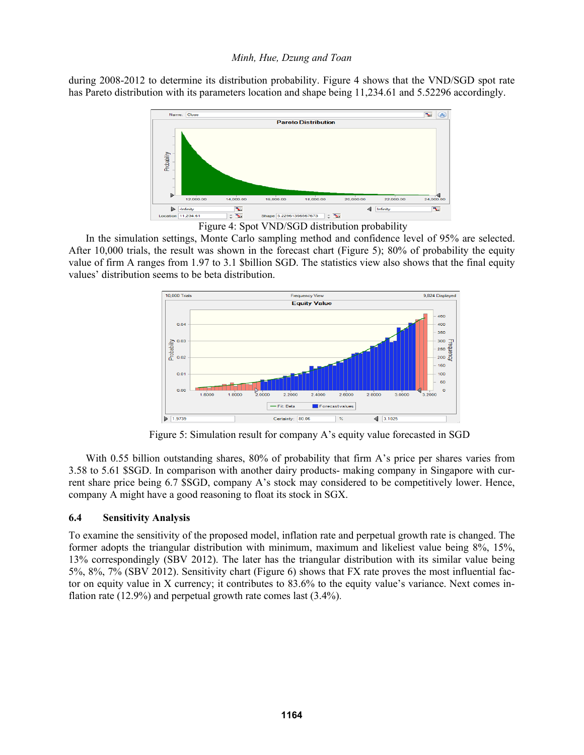during 2008-2012 to determine its distribution probability. Figure 4 shows that the VND/SGD spot rate has Pareto distribution with its parameters location and shape being 11,234.61 and 5.52296 accordingly.



Figure 4: Spot VND/SGD distribution probability

In the simulation settings, Monte Carlo sampling method and confidence level of 95% are selected. After 10,000 trials, the result was shown in the forecast chart (Figure 5); 80% of probability the equity value of firm A ranges from 1.97 to 3.1 \$billion SGD. The statistics view also shows that the final equity values' distribution seems to be beta distribution.



Figure 5: Simulation result for company A's equity value forecasted in SGD

With 0.55 billion outstanding shares, 80% of probability that firm A's price per shares varies from 3.58 to 5.61 \$SGD. In comparison with another dairy products- making company in Singapore with current share price being 6.7 \$SGD, company A's stock may considered to be competitively lower. Hence, company A might have a good reasoning to float its stock in SGX.

# **6.4 Sensitivity Analysis**

To examine the sensitivity of the proposed model, inflation rate and perpetual growth rate is changed. The former adopts the triangular distribution with minimum, maximum and likeliest value being 8%, 15%, 13% correspondingly (SBV 2012). The later has the triangular distribution with its similar value being 5%, 8%, 7% (SBV 2012). Sensitivity chart (Figure 6) shows that FX rate proves the most influential factor on equity value in X currency; it contributes to 83.6% to the equity value's variance. Next comes inflation rate (12.9%) and perpetual growth rate comes last (3.4%).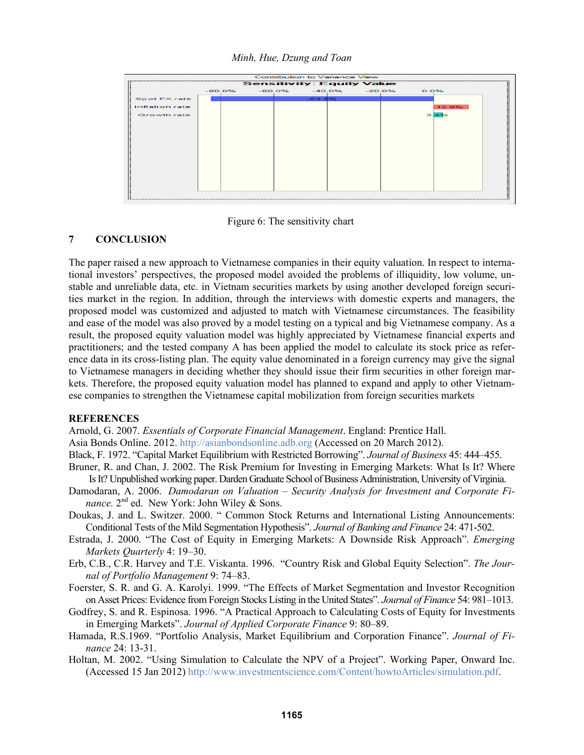

Figure 6: The sensitivity chart

### **7 CONCLUSION**

The paper raised a new approach to Vietnamese companies in their equity valuation. In respect to international investors' perspectives, the proposed model avoided the problems of illiquidity, low volume, unstable and unreliable data, etc. in Vietnam securities markets by using another developed foreign securities market in the region. In addition, through the interviews with domestic experts and managers, the proposed model was customized and adjusted to match with Vietnamese circumstances. The feasibility and ease of the model was also proved by a model testing on a typical and big Vietnamese company. As a result, the proposed equity valuation model was highly appreciated by Vietnamese financial experts and practitioners; and the tested company A has been applied the model to calculate its stock price as reference data in its cross-listing plan. The equity value denominated in a foreign currency may give the signal to Vietnamese managers in deciding whether they should issue their firm securities in other foreign markets. Therefore, the proposed equity valuation model has planned to expand and apply to other Vietnamese companies to strengthen the Vietnamese capital mobilization from foreign securities markets

### **REFERENCES**

Arnold, G. 2007. *Essentials of Corporate Financial Management*. England: Prentice Hall. Asia Bonds Online. 2012. http://asianbondsonline.adb.org (Accessed on 20 March 2012).

Black, F. 1972. "Capital Market Equilibrium with Restricted Borrowing". *Journal of Business* 45: 444–455.

- Bruner, R. and Chan, J. 2002. The Risk Premium for Investing in Emerging Markets: What Is It? Where
- Is It? Unpublished working paper. Darden Graduate School of Business Administration, University of Virginia. Damodaran, A. 2006. *Damodaran on Valuation – Security Analysis for Investment and Corporate Finance*. 2<sup>nd</sup> ed. New York: John Wiley & Sons.
- Doukas, J. and L. Switzer. 2000. " Common Stock Returns and International Listing Announcements: Conditional Tests of the Mild Segmentation Hypothesis". *Journal of Banking and Finance* 24: 471-502.
- Estrada, J. 2000. "The Cost of Equity in Emerging Markets: A Downside Risk Approach". *Emerging Markets Quarterly* 4: 19–30.
- Erb, C.B., C.R. Harvey and T.E. Viskanta. 1996. "Country Risk and Global Equity Selection". *The Journal of Portfolio Management* 9: 74–83.
- Foerster, S. R. and G. A. Karolyi. 1999. "The Effects of Market Segmentation and Investor Recognition on Asset Prices: Evidence from Foreign Stocks Listing in the United States". *Journal of Finance* 54: 981–1013.
- Godfrey, S. and R. Espinosa. 1996. "A Practical Approach to Calculating Costs of Equity for Investments in Emerging Markets". *Journal of Applied Corporate Finance* 9: 80–89.
- Hamada, R.S.1969. "Portfolio Analysis, Market Equilibrium and Corporation Finance". *Journal of Finance* 24: 13-31.
- Holtan, M. 2002. "Using Simulation to Calculate the NPV of a Project". Working Paper, Onward Inc. (Accessed 15 Jan 2012) http://www.investmentscience.com/Content/howtoArticles/simulation.pdf.